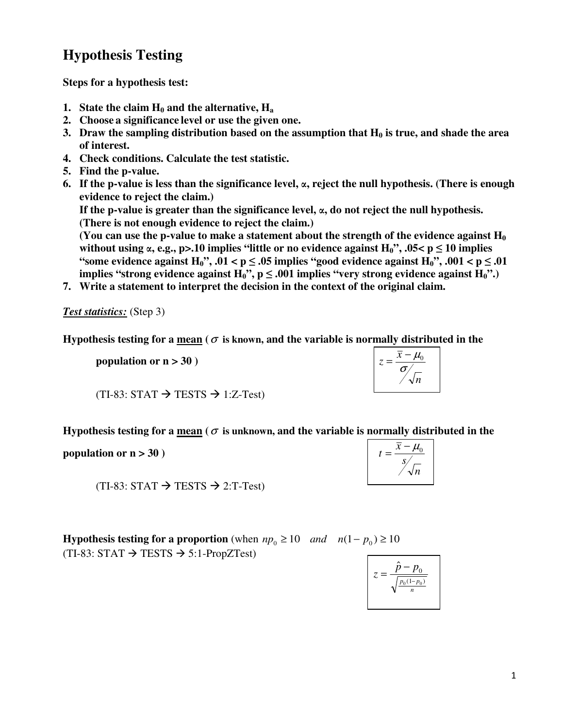# **Hypothesis Testing**

**Steps for a hypothesis test:** 

- **1.** State the claim  $H_0$  and the alternative,  $H_a$
- **2. Choose a significance level or use the given one.**
- **3. Draw the sampling distribution based on the assumption that H0 is true, and shade the area of interest.**
- **4. Check conditions. Calculate the test statistic.**
- **5. Find the p-value.**
- **6. If the p-value is less than the significance level,** α**, reject the null hypothesis. (There is enough evidence to reject the claim.)**

 **If the p-value is greater than the significance level,** α**, do not reject the null hypothesis. (There is not enough evidence to reject the claim.)**

 **(You can use the p-value to make a statement about the strength of the evidence against H<sup>0</sup>** without using  $\alpha$ , e.g., p>.10 implies "little or no evidence against  $H_0$ ", .05<  $p \le 10$  implies "some evidence against  $H_0$ ",  $.01 < p \leq .05$  implies "good evidence against  $H_0$ ",  $.001 < p \leq .01$ **implies "strong evidence against**  $H_0$ **",**  $p \leq .001$  **implies "very strong evidence against**  $H_0$ **".)** 

**7. Write a statement to interpret the decision in the context of the original claim.** 

*Test statistics:* (Step 3)

**Hypothesis testing for a mean (** $\sigma$  **is known, and the variable is normally distributed in the** 

**population or**  $n > 30$ )

(TI-83: STAT  $\rightarrow$  TESTS  $\rightarrow$  1:Z-Test)

**Hypothesis testing for a mean (** $\sigma$  **is unknown, and the variable is normally distributed in the** 

| population or $n > 30$ )                                          | $\sqrt{n}$ |
|-------------------------------------------------------------------|------------|
| $(TI-83 \cdot STAT \rightarrow TESTS \rightarrow 2 \cdot T-Test)$ |            |

 $(11-83: S1A1 \rightarrow 1E S1S \rightarrow 2:1-1est)$ 

**Hypothesis testing for a proportion** (when  $np_0 \ge 10$  and  $n(1 - p_0) \ge 10$  $(TI-83: STAT \rightarrow TESTS \rightarrow 5:1-PropZTest)$ 

| $p_{0}$           |
|-------------------|
| $p_0(1-p_0)$<br>n |
|                   |

*x*

 $=\frac{\bar{x}-\mu_{0}}{2}$ σ

*n*

 $\mathbf{0}$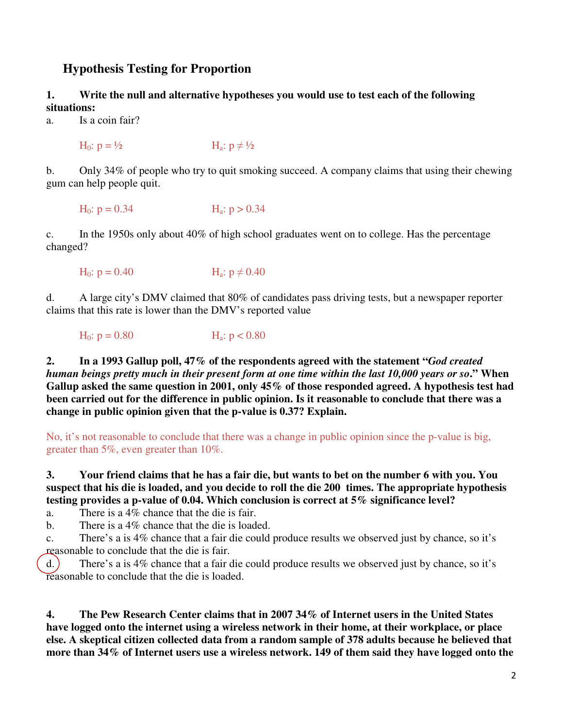# **Hypothesis Testing for Proportion**

### **1. Write the null and alternative hypotheses you would use to test each of the following situations:**

a. Is a coin fair?

H<sub>0</sub>:  $p = \frac{1}{2}$  H<sub>a</sub>:  $p \neq \frac{1}{2}$ 

b. Only 34% of people who try to quit smoking succeed. A company claims that using their chewing gum can help people quit.

$$
H_0
$$
: p = 0.34  $H_a$ : p > 0.34

c. In the 1950s only about 40% of high school graduates went on to college. Has the percentage changed?

H<sub>0</sub>:  $p = 0.40$  H<sub>a</sub>:  $p \neq 0.40$ 

d. A large city's DMV claimed that 80% of candidates pass driving tests, but a newspaper reporter claims that this rate is lower than the DMV's reported value

H<sub>0</sub>:  $p = 0.80$  H<sub>a</sub>:  $p < 0.80$ 

**2. In a 1993 Gallup poll, 47% of the respondents agreed with the statement "***God created human beings pretty much in their present form at one time within the last 10,000 years or so***." When Gallup asked the same question in 2001, only 45% of those responded agreed. A hypothesis test had been carried out for the difference in public opinion. Is it reasonable to conclude that there was a change in public opinion given that the p-value is 0.37? Explain.** 

No, it's not reasonable to conclude that there was a change in public opinion since the p-value is big, greater than 5%, even greater than 10%.

**3. Your friend claims that he has a fair die, but wants to bet on the number 6 with you. You suspect that his die is loaded, and you decide to roll the die 200 times. The appropriate hypothesis testing provides a p-value of 0.04. Which conclusion is correct at 5% significance level?** 

a. There is a 4% chance that the die is fair.

b. There is a 4% chance that the die is loaded.

c. There's a is 4% chance that a fair die could produce results we observed just by chance, so it's reasonable to conclude that the die is fair.

d. There's a is 4% chance that a fair die could produce results we observed just by chance, so it's reasonable to conclude that the die is loaded.

**4. The Pew Research Center claims that in 2007 34% of Internet users in the United States have logged onto the internet using a wireless network in their home, at their workplace, or place else. A skeptical citizen collected data from a random sample of 378 adults because he believed that more than 34% of Internet users use a wireless network. 149 of them said they have logged onto the**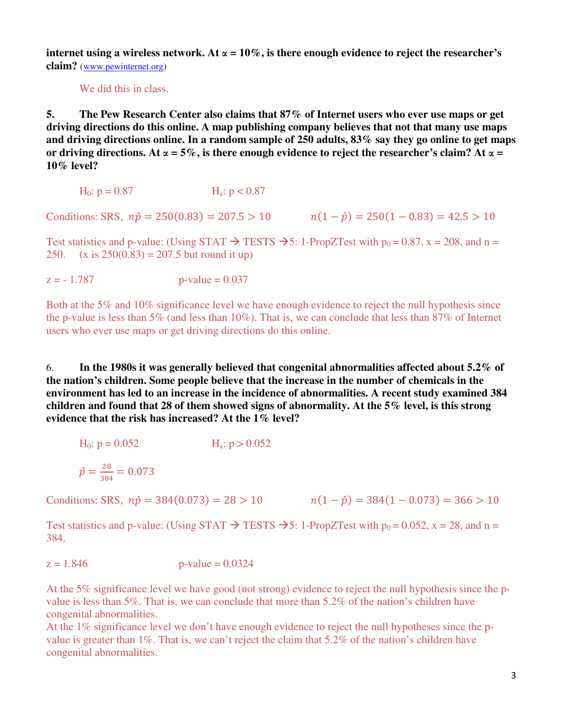**internet using a wireless network.** At  $\alpha = 10\%$ , is there enough evidence to reject the researcher's **claim?** (www.pewinternet.org)

We did this in class.

**5. The Pew Research Center also claims that 87% of Internet users who ever use maps or get driving directions do this online. A map publishing company believes that not that many use maps and driving directions online. In a random sample of 250 adults, 83% say they go online to get maps or driving directions. At** α **= 5%, is there enough evidence to reject the researcher's claim? At** α **= 10% level?** 

H<sub>0</sub>:  $p = 0.87$  H<sub>a</sub>:  $p < 0.87$ 

Conditions: SRS,  $n\hat{p} = 250(0.83) = 207.5 > 10$   $n(1-\hat{p}) = 250(1-0.83) = 42.5 > 10$ 

Test statistics and p-value: (Using STAT  $\rightarrow$  TESTS  $\rightarrow$  5: 1-PropZTest with p<sub>0</sub> = 0.87, x = 208, and n = 250. (x is  $250(0.83) = 207.5$  but round it up)

$$
z = -1.787
$$
 p-value = 0.037

Both at the 5% and 10% significance level we have enough evidence to reject the null hypothesis since the p-value is less than 5% (and less than 10%). That is, we can conclude that less than 87% of Internet users who ever use maps or get driving directions do this online.

6. **In the 1980s it was generally believed that congenital abnormalities affected about 5.2% of the nation's children. Some people believe that the increase in the number of chemicals in the environment has led to an increase in the incidence of abnormalities. A recent study examined 384 children and found that 28 of them showed signs of abnormality. At the 5% level, is this strong evidence that the risk has increased? At the 1% level?** 

H<sub>0</sub>: p = 0.052  
\n
$$
\hat{p} = \frac{28}{384} = 0.073
$$
  
\n
$$
\hat{p} = \frac{28}{384} = 0.073
$$
\nConditions: SRS,  $n\hat{p} = 384(0.073) = 28 > 10$ 

\n
$$
n(1 - \hat{p}) = 384(1 - 0.073) = 366 > 10
$$

Test statistics and p-value: (Using STAT  $\rightarrow$  TESTS  $\rightarrow$  5: 1-PropZTest with p<sub>0</sub> = 0.052, x = 28, and n = 384.

 $z = 1.846$  p-value = 0.0324

At the 5% significance level we have good (not strong) evidence to reject the null hypothesis since the pvalue is less than 5%. That is, we can conclude that more than 5.2% of the nation's children have congenital abnormalities.

At the 1% significance level we don't have enough evidence to reject the null hypotheses since the pvalue is greater than 1%. That is, we can't reject the claim that 5.2% of the nation's children have congenital abnormalities.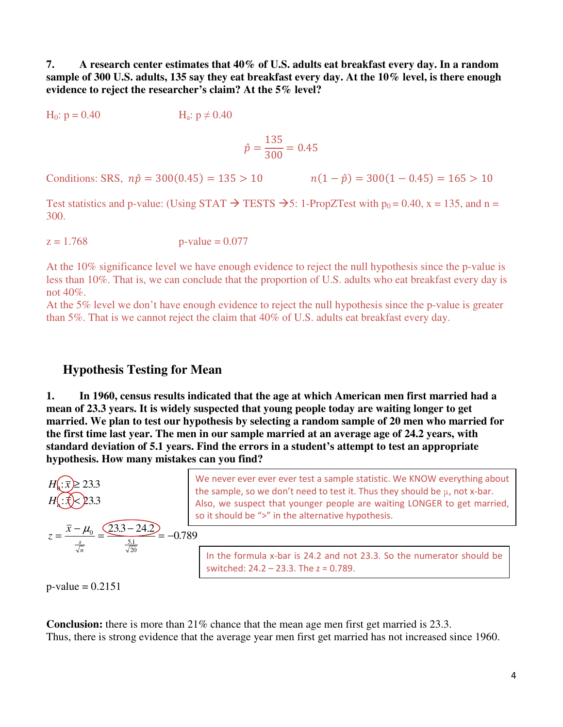**7. A research center estimates that 40% of U.S. adults eat breakfast every day. In a random sample of 300 U.S. adults, 135 say they eat breakfast every day. At the 10% level, is there enough evidence to reject the researcher's claim? At the 5% level?** 

H<sub>0</sub>:  $p = 0.40$  H<sub>a</sub>:  $p \neq 0.40$ 

$$
\hat{p} = \frac{135}{300} = 0.45
$$

Conditions: SRS,  $n\hat{p} = 300(0.45) = 135 > 10$   $n(1-\hat{p}) = 300(1-0.45) = 165 > 10$ 

Test statistics and p-value: (Using STAT  $\rightarrow$  TESTS  $\rightarrow$  5: 1-PropZTest with p<sub>0</sub> = 0.40, x = 135, and n = 300.

$$
z = 1.768
$$
 p-value = 0.077

At the 10% significance level we have enough evidence to reject the null hypothesis since the p-value is less than 10%. That is, we can conclude that the proportion of U.S. adults who eat breakfast every day is not 40%.

At the 5% level we don't have enough evidence to reject the null hypothesis since the p-value is greater than 5%. That is we cannot reject the claim that 40% of U.S. adults eat breakfast every day.

## **Hypothesis Testing for Mean**

**1. In 1960, census results indicated that the age at which American men first married had a mean of 23.3 years. It is widely suspected that young people today are waiting longer to get married. We plan to test our hypothesis by selecting a random sample of 20 men who married for the first time last year. The men in our sample married at an average age of 24.2 years, with standard deviation of 5.1 years. Find the errors in a student's attempt to test an appropriate hypothesis. How many mistakes can you find?** 



 $p$ -value = 0.2151

**Conclusion:** there is more than 21% chance that the mean age men first get married is 23.3. Thus, there is strong evidence that the average year men first get married has not increased since 1960.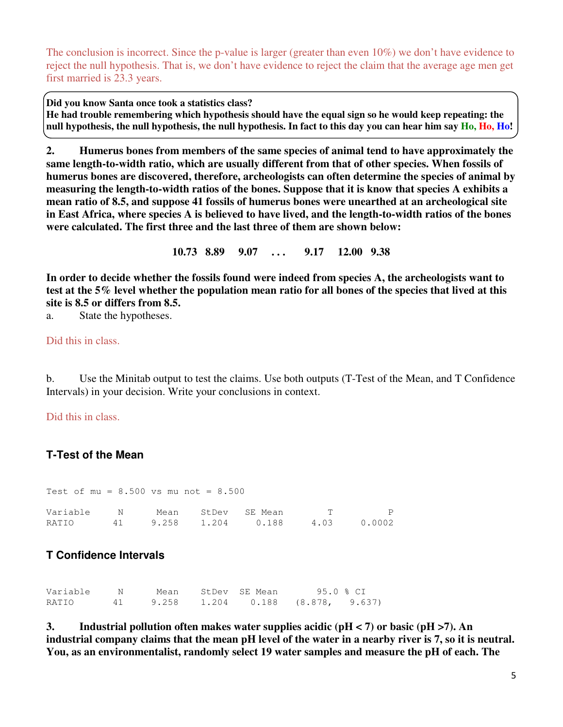The conclusion is incorrect. Since the p-value is larger (greater than even 10%) we don't have evidence to reject the null hypothesis. That is, we don't have evidence to reject the claim that the average age men get first married is 23.3 years.

**Did you know Santa once took a statistics class?** 

**He had trouble remembering which hypothesis should have the equal sign so he would keep repeating: the null hypothesis, the null hypothesis, the null hypothesis. In fact to this day you can hear him say Ho, Ho, Ho!** 

**2. Humerus bones from members of the same species of animal tend to have approximately the same length-to-width ratio, which are usually different from that of other species. When fossils of humerus bones are discovered, therefore, archeologists can often determine the species of animal by measuring the length-to-width ratios of the bones. Suppose that it is know that species A exhibits a mean ratio of 8.5, and suppose 41 fossils of humerus bones were unearthed at an archeological site in East Africa, where species A is believed to have lived, and the length-to-width ratios of the bones were calculated. The first three and the last three of them are shown below:** 

**10.73 8.89 9.07 . . . 9.17 12.00 9.38** 

**In order to decide whether the fossils found were indeed from species A, the archeologists want to test at the 5% level whether the population mean ratio for all bones of the species that lived at this site is 8.5 or differs from 8.5.** 

a. State the hypotheses.

#### Did this in class.

b. Use the Minitab output to test the claims. Use both outputs (T-Test of the Mean, and T Confidence Intervals) in your decision. Write your conclusions in context.

#### Did this in class.

### **T-Test of the Mean**

Test of  $mu = 8.500$  vs  $mu$  not =  $8.500$ 

| Variable N |  | Mean StDev SE-Mean   |             |
|------------|--|----------------------|-------------|
| RATIO      |  | 41 9.258 1.204 0.188 | 4.03 0.0002 |

## **T Confidence Intervals**

| Variable |    | Mean  | StDev SE Mean |                            | 95.0 % CI |
|----------|----|-------|---------------|----------------------------|-----------|
| RATIO    | 41 | 9.258 |               | 1,204 0.188 (8.878, 9.637) |           |

**3. Industrial pollution often makes water supplies acidic (pH < 7) or basic (pH >7). An industrial company claims that the mean pH level of the water in a nearby river is 7, so it is neutral. You, as an environmentalist, randomly select 19 water samples and measure the pH of each. The**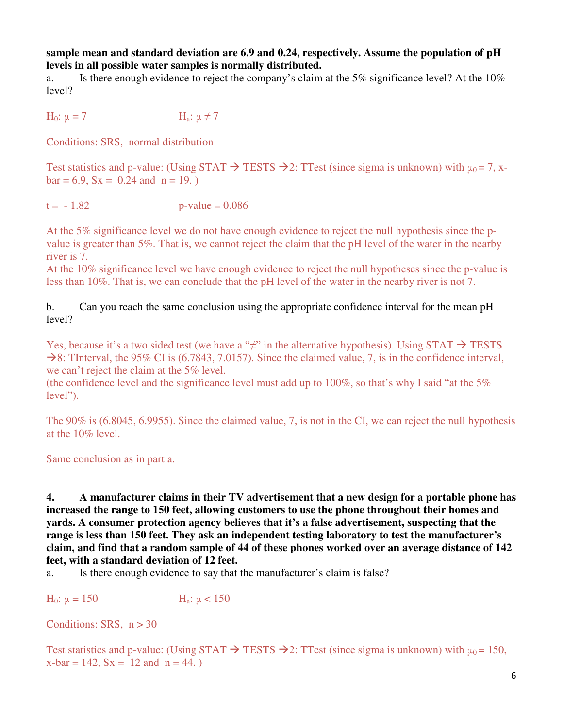#### **sample mean and standard deviation are 6.9 and 0.24, respectively. Assume the population of pH levels in all possible water samples is normally distributed.**

a. Is there enough evidence to reject the company's claim at the 5% significance level? At the  $10\%$ level?

H<sub>0</sub>:  $\mu = 7$  H<sub>a</sub>:  $\mu \neq 7$ 

Conditions: SRS, normal distribution

Test statistics and p-value: (Using STAT  $\rightarrow$  TESTS  $\rightarrow$  2: TTest (since sigma is unknown) with  $\mu_0 = 7$ , x $bar = 6.9$ ,  $Sx = 0.24$  and  $n = 19$ .

 $t = -1.82$  p-value = 0.086

At the 5% significance level we do not have enough evidence to reject the null hypothesis since the pvalue is greater than 5%. That is, we cannot reject the claim that the pH level of the water in the nearby river is 7.

At the 10% significance level we have enough evidence to reject the null hypotheses since the p-value is less than 10%. That is, we can conclude that the pH level of the water in the nearby river is not 7.

b. Can you reach the same conclusion using the appropriate confidence interval for the mean pH level?

Yes, because it's a two sided test (we have a "≠" in the alternative hypothesis). Using STAT  $\rightarrow$  TESTS  $\rightarrow$  8: TInterval, the 95% CI is (6.7843, 7.0157). Since the claimed value, 7, is in the confidence interval, we can't reject the claim at the 5% level.

(the confidence level and the significance level must add up to  $100\%$ , so that's why I said "at the 5% level").

The 90% is (6.8045, 6.9955). Since the claimed value, 7, is not in the CI, we can reject the null hypothesis at the 10% level.

Same conclusion as in part a.

**4. A manufacturer claims in their TV advertisement that a new design for a portable phone has increased the range to 150 feet, allowing customers to use the phone throughout their homes and yards. A consumer protection agency believes that it's a false advertisement, suspecting that the range is less than 150 feet. They ask an independent testing laboratory to test the manufacturer's claim, and find that a random sample of 44 of these phones worked over an average distance of 142 feet, with a standard deviation of 12 feet.** 

a. Is there enough evidence to say that the manufacturer's claim is false?

H<sub>0</sub>:  $\mu = 150$  H<sub>a</sub>:  $\mu < 150$ 

Conditions: SRS,  $n > 30$ 

Test statistics and p-value: (Using STAT  $\rightarrow$  TESTS  $\rightarrow$  2: TTest (since sigma is unknown) with  $\mu_0 = 150$ ,  $x-bar = 142$ ,  $Sx = 12$  and  $n = 44$ .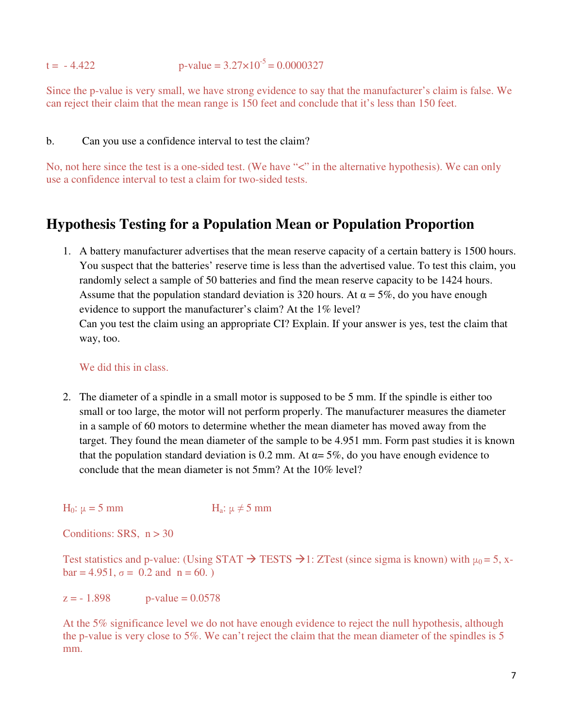$t = -4.422$  p-value =  $3.27 \times 10^{-5} = 0.0000327$ 

Since the p-value is very small, we have strong evidence to say that the manufacturer's claim is false. We can reject their claim that the mean range is 150 feet and conclude that it's less than 150 feet.

#### b. Can you use a confidence interval to test the claim?

No, not here since the test is a one-sided test. (We have "<" in the alternative hypothesis). We can only use a confidence interval to test a claim for two-sided tests.

# **Hypothesis Testing for a Population Mean or Population Proportion**

1. A battery manufacturer advertises that the mean reserve capacity of a certain battery is 1500 hours. You suspect that the batteries' reserve time is less than the advertised value. To test this claim, you randomly select a sample of 50 batteries and find the mean reserve capacity to be 1424 hours. Assume that the population standard deviation is 320 hours. At  $\alpha = 5\%$ , do you have enough evidence to support the manufacturer's claim? At the 1% level? Can you test the claim using an appropriate CI? Explain. If your answer is yes, test the claim that way, too.

We did this in class.

2. The diameter of a spindle in a small motor is supposed to be 5 mm. If the spindle is either too small or too large, the motor will not perform properly. The manufacturer measures the diameter in a sample of 60 motors to determine whether the mean diameter has moved away from the target. They found the mean diameter of the sample to be 4.951 mm. Form past studies it is known that the population standard deviation is 0.2 mm. At  $\alpha = 5\%$ , do you have enough evidence to conclude that the mean diameter is not 5mm? At the 10% level?

H<sub>0</sub>:  $\mu = 5$  mm H<sub>a</sub>:  $\mu \neq 5$  mm

Conditions: SRS,  $n > 30$ 

Test statistics and p-value: (Using STAT  $\rightarrow$  TESTS  $\rightarrow$  1: ZTest (since sigma is known) with  $\mu_0 = 5$ , xbar = 4.951,  $\sigma$  = 0.2 and n = 60.)

 $z = -1.898$  p-value = 0.0578

At the 5% significance level we do not have enough evidence to reject the null hypothesis, although the p-value is very close to 5%. We can't reject the claim that the mean diameter of the spindles is 5 mm.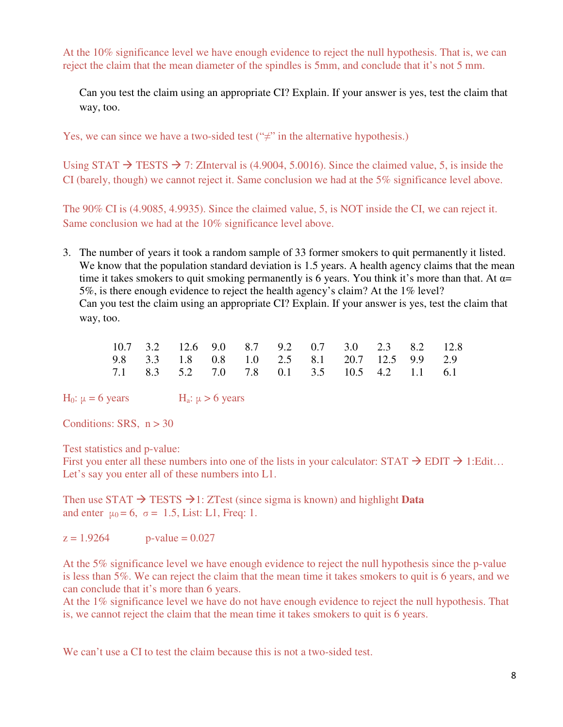At the 10% significance level we have enough evidence to reject the null hypothesis. That is, we can reject the claim that the mean diameter of the spindles is 5mm, and conclude that it's not 5 mm.

Can you test the claim using an appropriate CI? Explain. If your answer is yes, test the claim that way, too.

Yes, we can since we have a two-sided test  $(\mathcal{L}^{\mathcal{P}})$  in the alternative hypothesis.)

Using  $STAT \rightarrow TESTS \rightarrow 7$ : ZInterval is (4.9004, 5.0016). Since the claimed value, 5, is inside the CI (barely, though) we cannot reject it. Same conclusion we had at the 5% significance level above.

The 90% CI is (4.9085, 4.9935). Since the claimed value, 5, is NOT inside the CI, we can reject it. Same conclusion we had at the 10% significance level above.

3. The number of years it took a random sample of 33 former smokers to quit permanently it listed. We know that the population standard deviation is 1.5 years. A health agency claims that the mean time it takes smokers to quit smoking permanently is 6 years. You think it's more than that. At  $\alpha$ = 5%, is there enough evidence to reject the health agency's claim? At the 1% level? Can you test the claim using an appropriate CI? Explain. If your answer is yes, test the claim that way, too.

|  | 10.7 3.2 12.6 9.0 8.7 9.2 0.7 3.0 2.3 8.2 12.8 |  |  |  |  |
|--|------------------------------------------------|--|--|--|--|
|  | 9.8 3.3 1.8 0.8 1.0 2.5 8.1 20.7 12.5 9.9 2.9  |  |  |  |  |
|  | 7.1 8.3 5.2 7.0 7.8 0.1 3.5 10.5 4.2 1.1 6.1   |  |  |  |  |

H<sub>0</sub>:  $\mu = 6$  years H<sub>a</sub>:  $\mu > 6$  years

Conditions: SRS,  $n > 30$ 

Test statistics and p-value:

First you enter all these numbers into one of the lists in your calculator:  $STAT \rightarrow EDIT \rightarrow 1:Edit...$ Let's say you enter all of these numbers into L1.

Then use  $STAT \rightarrow TESTS \rightarrow 1$ : ZTest (since sigma is known) and highlight **Data** and enter  $\mu_0 = 6$ ,  $\sigma = 1.5$ , List: L1, Freq: 1.

 $z = 1.9264$  p-value = 0.027

At the 5% significance level we have enough evidence to reject the null hypothesis since the p-value is less than 5%. We can reject the claim that the mean time it takes smokers to quit is 6 years, and we can conclude that it's more than 6 years.

At the 1% significance level we have do not have enough evidence to reject the null hypothesis. That is, we cannot reject the claim that the mean time it takes smokers to quit is 6 years.

We can't use a CI to test the claim because this is not a two-sided test.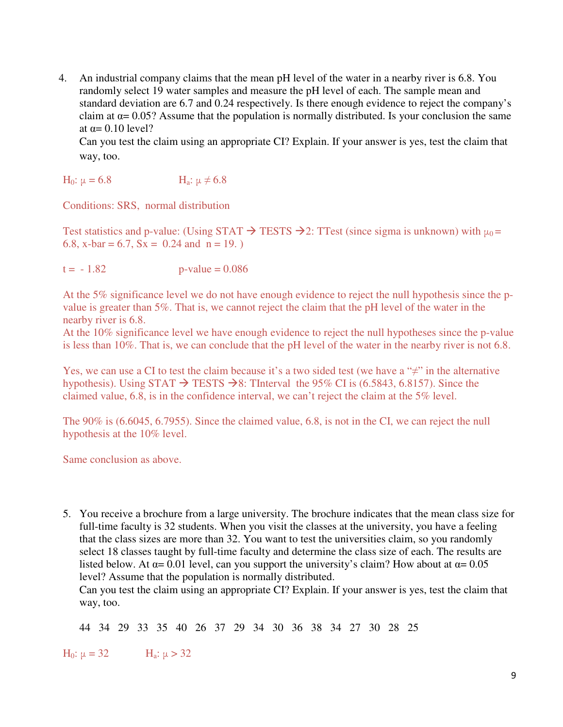4. An industrial company claims that the mean pH level of the water in a nearby river is 6.8. You randomly select 19 water samples and measure the pH level of each. The sample mean and standard deviation are 6.7 and 0.24 respectively. Is there enough evidence to reject the company's claim at  $\alpha$ = 0.05? Assume that the population is normally distributed. Is your conclusion the same at  $\alpha$ = 0.10 level?

Can you test the claim using an appropriate CI? Explain. If your answer is yes, test the claim that way, too.

H<sub>0</sub>:  $\mu = 6.8$  H<sub>a</sub>:  $\mu \neq 6.8$ 

Conditions: SRS, normal distribution

Test statistics and p-value: (Using STAT  $\rightarrow$  TESTS  $\rightarrow$  2: TTest (since sigma is unknown) with  $\mu_0$  = 6.8, x-bar = 6.7,  $Sx = 0.24$  and  $n = 19$ .

 $t = -1.82$  p-value = 0.086

At the 5% significance level we do not have enough evidence to reject the null hypothesis since the pvalue is greater than 5%. That is, we cannot reject the claim that the pH level of the water in the nearby river is 6.8.

At the 10% significance level we have enough evidence to reject the null hypotheses since the p-value is less than 10%. That is, we can conclude that the pH level of the water in the nearby river is not 6.8.

Yes, we can use a CI to test the claim because it's a two sided test (we have a " $\neq$ " in the alternative hypothesis). Using STAT  $\rightarrow$  TESTS  $\rightarrow$  8: TInterval the 95% CI is (6.5843, 6.8157). Since the claimed value, 6.8, is in the confidence interval, we can't reject the claim at the 5% level.

The 90% is (6.6045, 6.7955). Since the claimed value, 6.8, is not in the CI, we can reject the null hypothesis at the 10% level.

Same conclusion as above.

5. You receive a brochure from a large university. The brochure indicates that the mean class size for full-time faculty is 32 students. When you visit the classes at the university, you have a feeling that the class sizes are more than 32. You want to test the universities claim, so you randomly select 18 classes taught by full-time faculty and determine the class size of each. The results are listed below. At  $\alpha$ = 0.01 level, can you support the university's claim? How about at  $\alpha$ = 0.05 level? Assume that the population is normally distributed. Can you test the claim using an appropriate CI? Explain. If your answer is yes, test the claim that

way, too.

44 34 29 33 35 40 26 37 29 34 30 36 38 34 27 30 28 25

H<sub>0</sub>:  $\mu = 32$  H<sub>a</sub>:  $\mu > 32$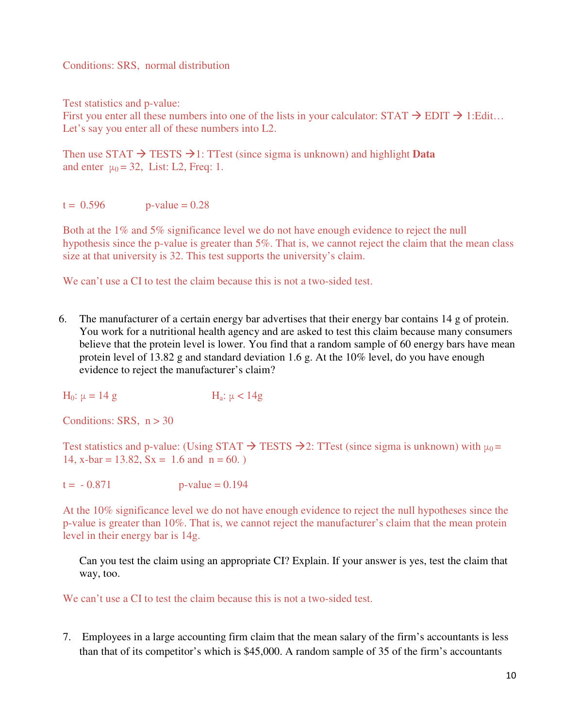#### Conditions: SRS, normal distribution

Test statistics and p-value:

First you enter all these numbers into one of the lists in your calculator:  $STAT \rightarrow EDIT \rightarrow 1:Edit...$ Let's say you enter all of these numbers into L2.

Then use  $STAT \rightarrow TESTS \rightarrow 1$ : TTest (since sigma is unknown) and highlight **Data** and enter  $\mu_0 = 32$ , List: L2, Freq: 1.

 $t = 0.596$  p-value = 0.28

Both at the 1% and 5% significance level we do not have enough evidence to reject the null hypothesis since the p-value is greater than 5%. That is, we cannot reject the claim that the mean class size at that university is 32. This test supports the university's claim.

We can't use a CI to test the claim because this is not a two-sided test.

6. The manufacturer of a certain energy bar advertises that their energy bar contains 14 g of protein. You work for a nutritional health agency and are asked to test this claim because many consumers believe that the protein level is lower. You find that a random sample of 60 energy bars have mean protein level of 13.82 g and standard deviation 1.6 g. At the 10% level, do you have enough evidence to reject the manufacturer's claim?

H<sub>0</sub>: μ = 14 g H<sub>a</sub>: μ < 14g

Conditions: SRS,  $n > 30$ 

Test statistics and p-value: (Using STAT  $\rightarrow$  TESTS  $\rightarrow$  2: TTest (since sigma is unknown) with  $\mu_0$  = 14, x-bar = 13.82,  $Sx = 1.6$  and  $n = 60$ .)

 $t = -0.871$  p-value = 0.194

At the 10% significance level we do not have enough evidence to reject the null hypotheses since the p-value is greater than 10%. That is, we cannot reject the manufacturer's claim that the mean protein level in their energy bar is 14g.

Can you test the claim using an appropriate CI? Explain. If your answer is yes, test the claim that way, too.

We can't use a CI to test the claim because this is not a two-sided test.

7. Employees in a large accounting firm claim that the mean salary of the firm's accountants is less than that of its competitor's which is \$45,000. A random sample of 35 of the firm's accountants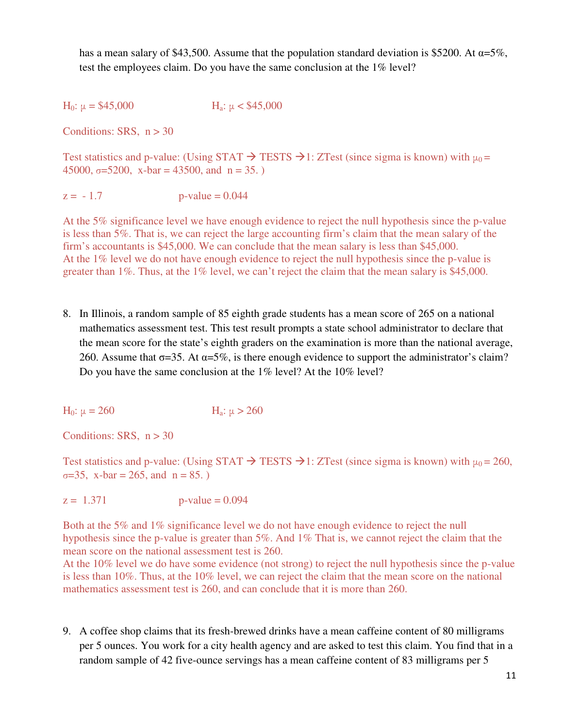has a mean salary of \$43,500. Assume that the population standard deviation is \$5200. At  $\alpha = 5\%$ , test the employees claim. Do you have the same conclusion at the 1% level?

H<sub>0</sub>:  $\mu = \$45,000$  H<sub>a</sub>:  $\mu < \$45,000$ 

Conditions: SRS,  $n > 30$ 

Test statistics and p-value: (Using STAT  $\rightarrow$  TESTS  $\rightarrow$  1: ZTest (since sigma is known) with  $\mu_0$  = 45000,  $\sigma = 5200$ ,  $x$ -bar = 43500, and  $n = 35$ .

 $z = -1.7$  p-value = 0.044

At the 5% significance level we have enough evidence to reject the null hypothesis since the p-value is less than 5%. That is, we can reject the large accounting firm's claim that the mean salary of the firm's accountants is \$45,000. We can conclude that the mean salary is less than \$45,000. At the 1% level we do not have enough evidence to reject the null hypothesis since the p-value is greater than 1%. Thus, at the 1% level, we can't reject the claim that the mean salary is \$45,000.

8. In Illinois, a random sample of 85 eighth grade students has a mean score of 265 on a national mathematics assessment test. This test result prompts a state school administrator to declare that the mean score for the state's eighth graders on the examination is more than the national average, 260. Assume that  $\sigma = 35$ . At  $\alpha = 5\%$ , is there enough evidence to support the administrator's claim? Do you have the same conclusion at the 1% level? At the 10% level?

H<sub>0</sub>:  $\mu = 260$  H<sub>a</sub>:  $\mu > 260$ 

Conditions: SRS,  $n > 30$ 

Test statistics and p-value: (Using STAT  $\rightarrow$  TESTS  $\rightarrow$  1: ZTest (since sigma is known) with  $\mu_0 = 260$ ,  $\sigma = 35$ , x-bar = 265, and n = 85.)

 $z = 1.371$  p-value = 0.094

Both at the 5% and 1% significance level we do not have enough evidence to reject the null hypothesis since the p-value is greater than 5%. And 1% That is, we cannot reject the claim that the mean score on the national assessment test is 260.

At the 10% level we do have some evidence (not strong) to reject the null hypothesis since the p-value is less than 10%. Thus, at the 10% level, we can reject the claim that the mean score on the national mathematics assessment test is 260, and can conclude that it is more than 260.

9. A coffee shop claims that its fresh-brewed drinks have a mean caffeine content of 80 milligrams per 5 ounces. You work for a city health agency and are asked to test this claim. You find that in a random sample of 42 five-ounce servings has a mean caffeine content of 83 milligrams per 5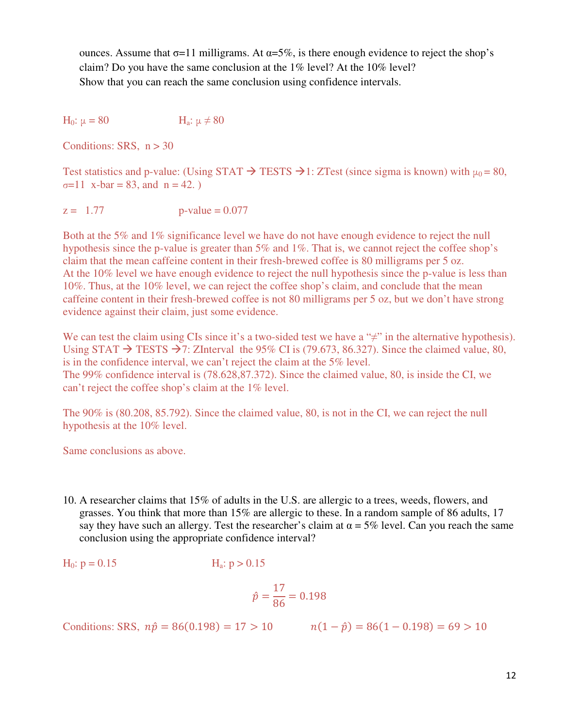ounces. Assume that  $σ=11$  milligrams. At  $α=5\%$ , is there enough evidence to reject the shop's claim? Do you have the same conclusion at the 1% level? At the 10% level? Show that you can reach the same conclusion using confidence intervals.

H<sub>0</sub>:  $\mu = 80$  H<sub>a</sub>:  $\mu \neq 80$ 

Conditions: SRS,  $n > 30$ 

Test statistics and p-value: (Using STAT  $\rightarrow$  TESTS  $\rightarrow$  1: ZTest (since sigma is known) with  $\mu_0 = 80$ ,  $\sigma = 11$  x-bar = 83, and n = 42.)

$$
z = 1.77
$$
 p-value = 0.077

Both at the 5% and 1% significance level we have do not have enough evidence to reject the null hypothesis since the p-value is greater than 5% and 1%. That is, we cannot reject the coffee shop's claim that the mean caffeine content in their fresh-brewed coffee is 80 milligrams per 5 oz. At the 10% level we have enough evidence to reject the null hypothesis since the p-value is less than 10%. Thus, at the 10% level, we can reject the coffee shop's claim, and conclude that the mean caffeine content in their fresh-brewed coffee is not 80 milligrams per 5 oz, but we don't have strong evidence against their claim, just some evidence.

We can test the claim using CIs since it's a two-sided test we have a " $\neq$ " in the alternative hypothesis). Using STAT  $\rightarrow$  TESTS  $\rightarrow$  7: ZInterval the 95% CI is (79.673, 86.327). Since the claimed value, 80, is in the confidence interval, we can't reject the claim at the 5% level. The 99% confidence interval is (78.628,87.372). Since the claimed value, 80, is inside the CI, we can't reject the coffee shop's claim at the 1% level.

The 90% is (80.208, 85.792). Since the claimed value, 80, is not in the CI, we can reject the null hypothesis at the 10% level.

Same conclusions as above.

10. A researcher claims that 15% of adults in the U.S. are allergic to a trees, weeds, flowers, and grasses. You think that more than 15% are allergic to these. In a random sample of 86 adults, 17 say they have such an allergy. Test the researcher's claim at  $\alpha = 5\%$  level. Can you reach the same conclusion using the appropriate confidence interval?

$$
H_0
$$
: p = 0.15  $H_a$ : p > 0.15

$$
\hat{p} = \frac{17}{86} = 0.198
$$

Conditions: SRS,  $n\hat{p} = 86(0.198) = 17 > 10$   $n(1-\hat{p}) = 86(1-0.198) = 69 > 10$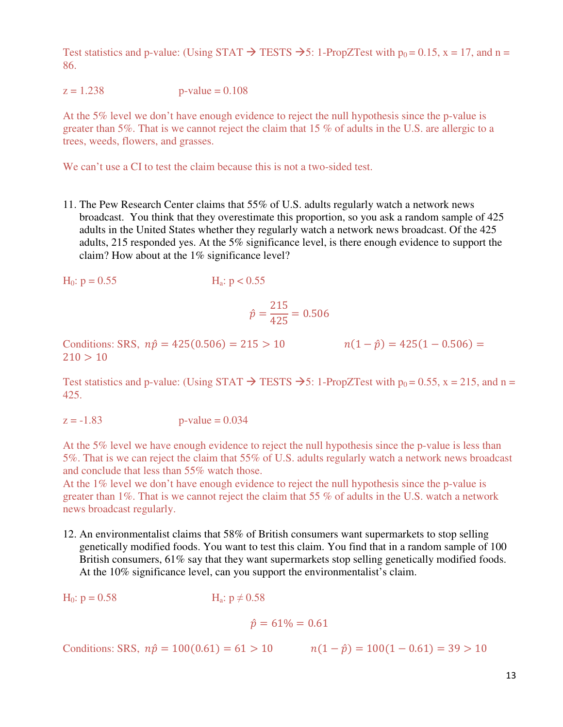Test statistics and p-value: (Using STAT  $\rightarrow$  TESTS  $\rightarrow$  5: 1-PropZTest with p<sub>0</sub> = 0.15, x = 17, and n = 86.

$$
z = 1.238
$$
 p-value = 0.108

At the 5% level we don't have enough evidence to reject the null hypothesis since the p-value is greater than 5%. That is we cannot reject the claim that 15 % of adults in the U.S. are allergic to a trees, weeds, flowers, and grasses.

We can't use a CI to test the claim because this is not a two-sided test.

11. The Pew Research Center claims that 55% of U.S. adults regularly watch a network news broadcast. You think that they overestimate this proportion, so you ask a random sample of 425 adults in the United States whether they regularly watch a network news broadcast. Of the 425 adults, 215 responded yes. At the 5% significance level, is there enough evidence to support the claim? How about at the 1% significance level?

$$
H_0
$$
: p = 0.55  $H_a$ : p < 0.55

$$
\hat{p} = \frac{215}{425} = 0.506
$$

Conditions: SRS,  $n\hat{p} = 425(0.506) = 215 > 10$   $n(1-\hat{p}) = 425(1-0.506) =$  $210 > 10$ 

Test statistics and p-value: (Using STAT  $\rightarrow$  TESTS  $\rightarrow$  5: 1-PropZTest with p<sub>0</sub> = 0.55, x = 215, and n = 425.

$$
z = -1.83
$$
 p-value = 0.034

At the 5% level we have enough evidence to reject the null hypothesis since the p-value is less than 5%. That is we can reject the claim that 55% of U.S. adults regularly watch a network news broadcast and conclude that less than 55% watch those.

At the 1% level we don't have enough evidence to reject the null hypothesis since the p-value is greater than 1%. That is we cannot reject the claim that 55 % of adults in the U.S. watch a network news broadcast regularly.

12. An environmentalist claims that 58% of British consumers want supermarkets to stop selling genetically modified foods. You want to test this claim. You find that in a random sample of 100 British consumers, 61% say that they want supermarkets stop selling genetically modified foods. At the 10% significance level, can you support the environmentalist's claim.

H<sub>0</sub>: p = 0.58  
\nH<sub>a</sub>: p 
$$
\neq
$$
 0.58  
\n $\hat{p} = 61\% = 0.61$   
\nConditions: SRS,  $n\hat{p} = 100(0.61) = 61 > 10$   
\n $n(1 - \hat{p}) = 100(1 - 0.61) = 39 > 10$